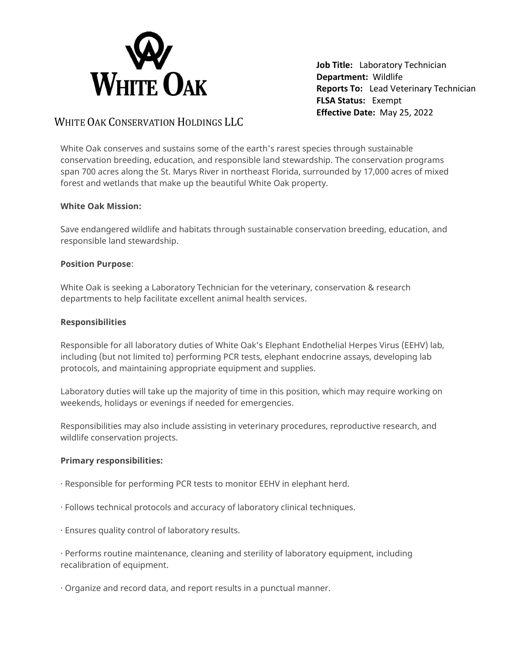

**Job Title:** Laboratory Technician **Department:** Wildlife **Reports To:** Lead Veterinary Technician **FLSA Status:** Exempt **Effective Date:** May 25, 2022

# WHITE OAK CONSERVATION HOLDINGS LLC

White Oak conserves and sustains some of the earth's rarest species through sustainable conservation breeding, education, and responsible land stewardship. The conservation programs span 700 acres along the St. Marys River in northeast Florida, surrounded by 17,000 acres of mixed forest and wetlands that make up the beautiful White Oak property.

# **White Oak Mission:**

Save endangered wildlife and habitats through sustainable conservation breeding, education, and responsible land stewardship.

# **Position Purpose**:

White Oak is seeking a Laboratory Technician for the veterinary, conservation & research departments to help facilitate excellent animal health services.

#### **Responsibilities**

Responsible for all laboratory duties of White Oak's Elephant Endothelial Herpes Virus (EEHV) lab, including (but not limited to) performing PCR tests, elephant endocrine assays, developing lab protocols, and maintaining appropriate equipment and supplies.

Laboratory duties will take up the majority of time in this position, which may require working on weekends, holidays or evenings if needed for emergencies.

Responsibilities may also include assisting in veterinary procedures, reproductive research, and wildlife conservation projects.

# **Primary responsibilities:**

- · Responsible for performing PCR tests to monitor EEHV in elephant herd.
- · Follows technical protocols and accuracy of laboratory clinical techniques.
- · Ensures quality control of laboratory results.

· Performs routine maintenance, cleaning and sterility of laboratory equipment, including recalibration of equipment.

· Organize and record data, and report results in a punctual manner.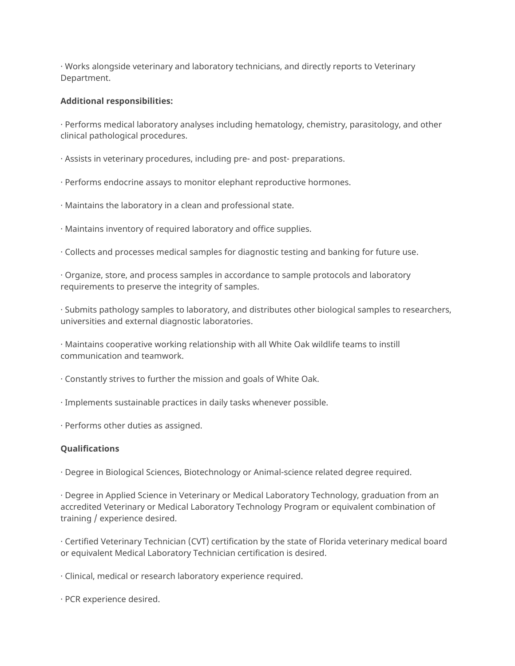· Works alongside veterinary and laboratory technicians, and directly reports to Veterinary Department.

#### **Additional responsibilities:**

· Performs medical laboratory analyses including hematology, chemistry, parasitology, and other clinical pathological procedures.

· Assists in veterinary procedures, including pre- and post- preparations.

- · Performs endocrine assays to monitor elephant reproductive hormones.
- · Maintains the laboratory in a clean and professional state.
- · Maintains inventory of required laboratory and office supplies.
- · Collects and processes medical samples for diagnostic testing and banking for future use.
- · Organize, store, and process samples in accordance to sample protocols and laboratory requirements to preserve the integrity of samples.

· Submits pathology samples to laboratory, and distributes other biological samples to researchers, universities and external diagnostic laboratories.

· Maintains cooperative working relationship with all White Oak wildlife teams to instill communication and teamwork.

- · Constantly strives to further the mission and goals of White Oak.
- · Implements sustainable practices in daily tasks whenever possible.
- · Performs other duties as assigned.

# **Qualifications**

· Degree in Biological Sciences, Biotechnology or Animal-science related degree required.

· Degree in Applied Science in Veterinary or Medical Laboratory Technology, graduation from an accredited Veterinary or Medical Laboratory Technology Program or equivalent combination of training / experience desired.

· Certified Veterinary Technician (CVT) certification by the state of Florida veterinary medical board or equivalent Medical Laboratory Technician certification is desired.

· Clinical, medical or research laboratory experience required.

· PCR experience desired.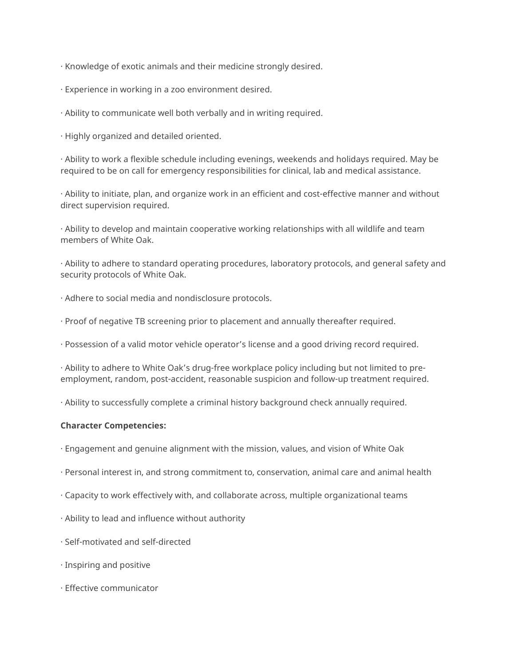· Knowledge of exotic animals and their medicine strongly desired.

- · Experience in working in a zoo environment desired.
- · Ability to communicate well both verbally and in writing required.
- · Highly organized and detailed oriented.

· Ability to work a flexible schedule including evenings, weekends and holidays required. May be required to be on call for emergency responsibilities for clinical, lab and medical assistance.

· Ability to initiate, plan, and organize work in an efficient and cost-effective manner and without direct supervision required.

· Ability to develop and maintain cooperative working relationships with all wildlife and team members of White Oak.

· Ability to adhere to standard operating procedures, laboratory protocols, and general safety and security protocols of White Oak.

- · Adhere to social media and nondisclosure protocols.
- · Proof of negative TB screening prior to placement and annually thereafter required.
- · Possession of a valid motor vehicle operator's license and a good driving record required.

· Ability to adhere to White Oak's drug-free workplace policy including but not limited to preemployment, random, post-accident, reasonable suspicion and follow-up treatment required.

· Ability to successfully complete a criminal history background check annually required.

#### **Character Competencies:**

- · Engagement and genuine alignment with the mission, values, and vision of White Oak
- · Personal interest in, and strong commitment to, conservation, animal care and animal health
- · Capacity to work effectively with, and collaborate across, multiple organizational teams
- · Ability to lead and influence without authority
- · Self-motivated and self-directed
- · Inspiring and positive
- · Effective communicator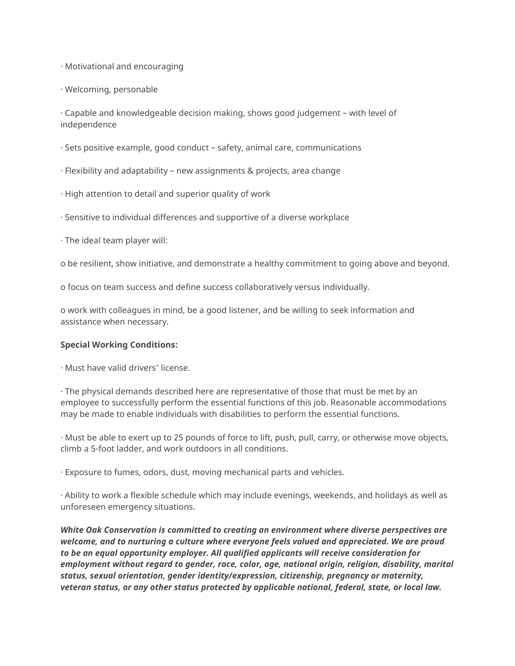· Motivational and encouraging

· Welcoming, personable

· Capable and knowledgeable decision making, shows good judgement – with level of independence

- · Sets positive example, good conduct safety, animal care, communications
- · Flexibility and adaptability new assignments & projects, area change
- · High attention to detail and superior quality of work
- · Sensitive to individual differences and supportive of a diverse workplace
- · The ideal team player will:

o be resilient, show initiative, and demonstrate a healthy commitment to going above and beyond.

o focus on team success and define success collaboratively versus individually.

o work with colleagues in mind, be a good listener, and be willing to seek information and assistance when necessary.

#### **Special Working Conditions:**

· Must have valid drivers' license.

· The physical demands described here are representative of those that must be met by an employee to successfully perform the essential functions of this job. Reasonable accommodations may be made to enable individuals with disabilities to perform the essential functions.

· Must be able to exert up to 25 pounds of force to lift, push, pull, carry, or otherwise move objects, climb a 5-foot ladder, and work outdoors in all conditions.

· Exposure to fumes, odors, dust, moving mechanical parts and vehicles.

· Ability to work a flexible schedule which may include evenings, weekends, and holidays as well as unforeseen emergency situations.

*White Oak Conservation is committed to creating an environment where diverse perspectives are welcome, and to nurturing a culture where everyone feels valued and appreciated. We are proud to be an equal opportunity employer. All qualified applicants will receive consideration for employment without regard to gender, race, color, age, national origin, religion, disability, marital status, sexual orientation, gender identity/expression, citizenship, pregnancy or maternity, veteran status, or any other status protected by applicable national, federal, state, or local law.*